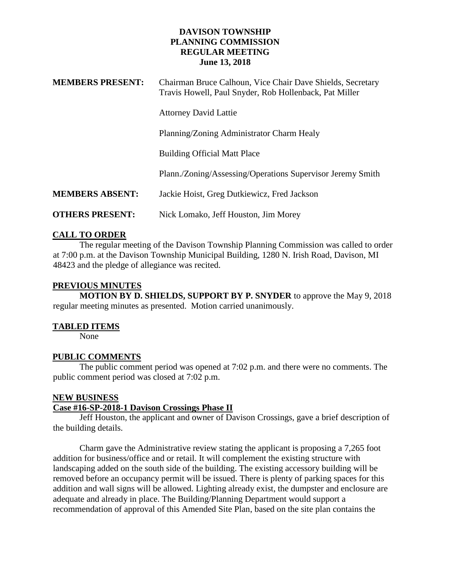### **DAVISON TOWNSHIP PLANNING COMMISSION REGULAR MEETING June 13, 2018**

| <b>MEMBERS PRESENT:</b> | Chairman Bruce Calhoun, Vice Chair Dave Shields, Secretary<br>Travis Howell, Paul Snyder, Rob Hollenback, Pat Miller |
|-------------------------|----------------------------------------------------------------------------------------------------------------------|
|                         | <b>Attorney David Lattie</b>                                                                                         |
|                         | Planning/Zoning Administrator Charm Healy                                                                            |
|                         | <b>Building Official Matt Place</b>                                                                                  |
|                         | Plann./Zoning/Assessing/Operations Supervisor Jeremy Smith                                                           |
| <b>MEMBERS ABSENT:</b>  | Jackie Hoist, Greg Dutkiewicz, Fred Jackson                                                                          |
| <b>OTHERS PRESENT:</b>  | Nick Lomako, Jeff Houston, Jim Morey                                                                                 |

# **CALL TO ORDER**

The regular meeting of the Davison Township Planning Commission was called to order at 7:00 p.m. at the Davison Township Municipal Building, 1280 N. Irish Road, Davison, MI 48423 and the pledge of allegiance was recited.

# **PREVIOUS MINUTES**

**MOTION BY D. SHIELDS, SUPPORT BY P. SNYDER** to approve the May 9, 2018 regular meeting minutes as presented. Motion carried unanimously.

# **TABLED ITEMS**

None

# **PUBLIC COMMENTS**

The public comment period was opened at 7:02 p.m. and there were no comments. The public comment period was closed at 7:02 p.m.

# **NEW BUSINESS**

# **Case #16-SP-2018-1 Davison Crossings Phase II**

Jeff Houston, the applicant and owner of Davison Crossings, gave a brief description of the building details.

Charm gave the Administrative review stating the applicant is proposing a 7,265 foot addition for business/office and or retail. It will complement the existing structure with landscaping added on the south side of the building. The existing accessory building will be removed before an occupancy permit will be issued. There is plenty of parking spaces for this addition and wall signs will be allowed. Lighting already exist, the dumpster and enclosure are adequate and already in place. The Building/Planning Department would support a recommendation of approval of this Amended Site Plan, based on the site plan contains the